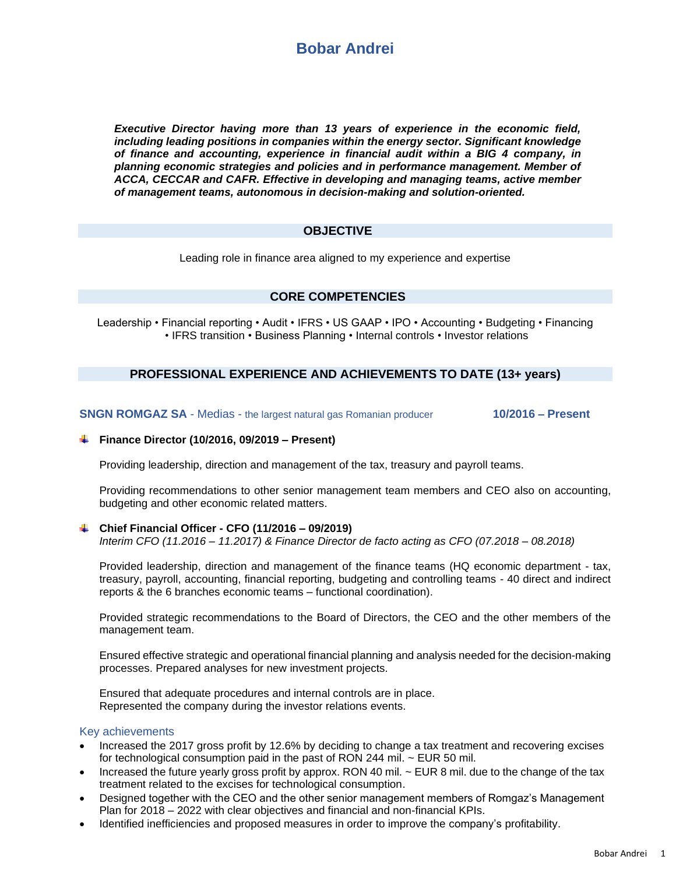

*Executive Director having more than 13 years of experience in the economic field, including leading positions in companies within the energy sector. Significant knowledge of finance and accounting, experience in financial audit within a BIG 4 company, in planning economic strategies and policies and in performance management. Member of ACCA, CECCAR and CAFR. Effective in developing and managing teams, active member of management teams, autonomous in decision-making and solution-oriented.*

# **OBJECTIVE**

Leading role in finance area aligned to my experience and expertise

# **CORE COMPETENCIES**

Leadership • Financial reporting • Audit • IFRS • US GAAP • IPO • Accounting • Budgeting • Financing • IFRS transition • Business Planning • Internal controls • Investor relations

# **PROFESSIONAL EXPERIENCE AND ACHIEVEMENTS TO DATE (13+ years)**

**SNGN ROMGAZ SA** - Medias - the largest natural gas Romanian producer **10/2016 – Present**

## **Finance Director (10/2016, 09/2019 – Present)**

Providing leadership, direction and management of the tax, treasury and payroll teams.

Providing recommendations to other senior management team members and CEO also on accounting, budgeting and other economic related matters.

## **Chief Financial Officer - CFO (11/2016 – 09/2019)**

*Interim CFO (11.2016 – 11.2017) & Finance Director de facto acting as CFO (07.2018 – 08.2018)*

Provided leadership, direction and management of the finance teams (HQ economic department - tax, treasury, payroll, accounting, financial reporting, budgeting and controlling teams - 40 direct and indirect reports & the 6 branches economic teams – functional coordination).

Provided strategic recommendations to the Board of Directors, the CEO and the other members of the management team.

Ensured effective strategic and operational financial planning and analysis needed for the decision-making processes. Prepared analyses for new investment projects.

Ensured that adequate procedures and internal controls are in place. Represented the company during the investor relations events.

## Key achievements

- Increased the 2017 gross profit by 12.6% by deciding to change a tax treatment and recovering excises for technological consumption paid in the past of RON 244 mil. ~ EUR 50 mil.
- Increased the future yearly gross profit by approx. RON 40 mil. ~ EUR 8 mil. due to the change of the tax treatment related to the excises for technological consumption.
- Designed together with the CEO and the other senior management members of Romgaz's Management Plan for 2018 – 2022 with clear objectives and financial and non-financial KPIs.
- Identified inefficiencies and proposed measures in order to improve the company's profitability.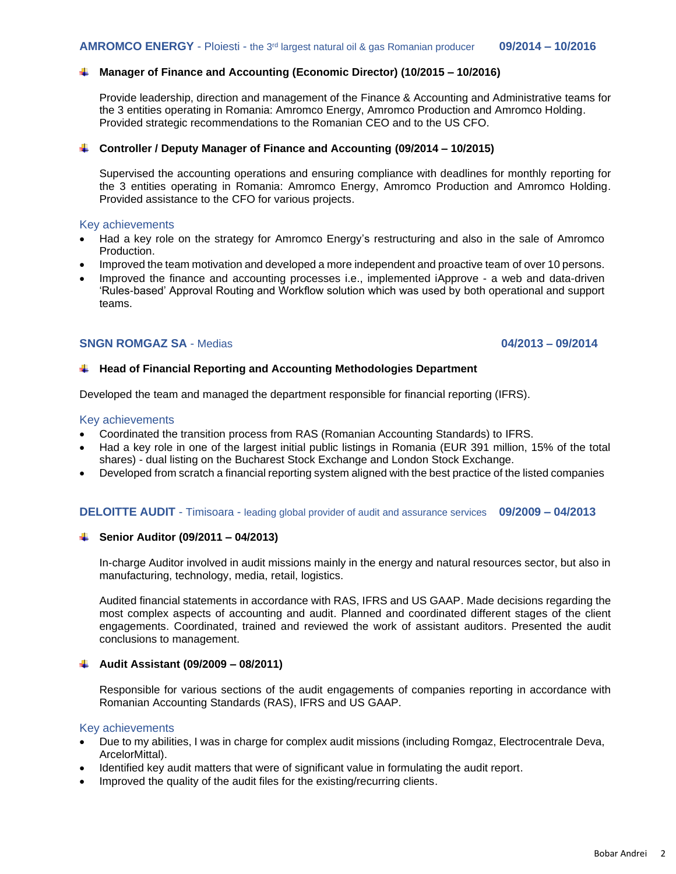# **Manager of Finance and Accounting (Economic Director) (10/2015 – 10/2016)**

Provide leadership, direction and management of the Finance & Accounting and Administrative teams for the 3 entities operating in Romania: Amromco Energy, Amromco Production and Amromco Holding. Provided strategic recommendations to the Romanian CEO and to the US CFO.

#### **Controller / Deputy Manager of Finance and Accounting (09/2014 – 10/2015)**

Supervised the accounting operations and ensuring compliance with deadlines for monthly reporting for the 3 entities operating in Romania: Amromco Energy, Amromco Production and Amromco Holding. Provided assistance to the CFO for various projects.

#### Key achievements

- Had a key role on the strategy for Amromco Energy's restructuring and also in the sale of Amromco Production.
- Improved the team motivation and developed a more independent and proactive team of over 10 persons.
- Improved the finance and accounting processes i.e., implemented iApprove a web and data-driven 'Rules-based' Approval Routing and Workflow solution which was used by both operational and support teams.

## **SNGN ROMGAZ SA** - Medias **04/2013 – 09/2014**

## **Head of Financial Reporting and Accounting Methodologies Department**

Developed the team and managed the department responsible for financial reporting (IFRS).

#### Key achievements

- Coordinated the transition process from RAS (Romanian Accounting Standards) to IFRS.
- Had a key role in one of the largest initial public listings in Romania (EUR 391 million, 15% of the total shares) - dual listing on the Bucharest Stock Exchange and London Stock Exchange.
- Developed from scratch a financial reporting system aligned with the best practice of the listed companies

## **DELOITTE AUDIT** - Timisoara - leading global provider of audit and assurance services **09/2009 – 04/2013**

## **Senior Auditor (09/2011 – 04/2013)**

In-charge Auditor involved in audit missions mainly in the energy and natural resources sector, but also in manufacturing, technology, media, retail, logistics.

Audited financial statements in accordance with RAS, IFRS and US GAAP. Made decisions regarding the most complex aspects of accounting and audit. Planned and coordinated different stages of the client engagements. Coordinated, trained and reviewed the work of assistant auditors. Presented the audit conclusions to management.

## **Audit Assistant (09/2009 – 08/2011)**

Responsible for various sections of the audit engagements of companies reporting in accordance with Romanian Accounting Standards (RAS), IFRS and US GAAP.

#### Key achievements

- Due to my abilities, I was in charge for complex audit missions (including Romgaz, Electrocentrale Deva, ArcelorMittal).
- Identified key audit matters that were of significant value in formulating the audit report.
- Improved the quality of the audit files for the existing/recurring clients.